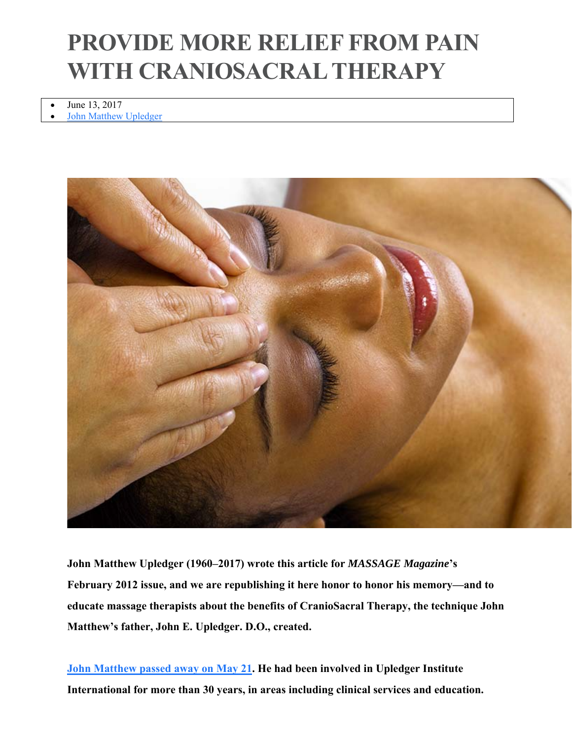# **PROVIDE MORE RELIEF FROM PAIN WITH CRANIOSACRAL THERAPY**

 June 13, 2017 John Matthew Upledger



**John Matthew Upledger (1960–2017) wrote this article for** *MASSAGE Magazine***'s February 2012 issue, and we are republishing it here honor to honor his memory—and to educate massage therapists about the benefits of CranioSacral Therapy, the technique John Matthew's father, John E. Upledger. D.O., created.**

**John Matthew passed away on May 21. He had been involved in Upledger Institute International for more than 30 years, in areas including clinical services and education.**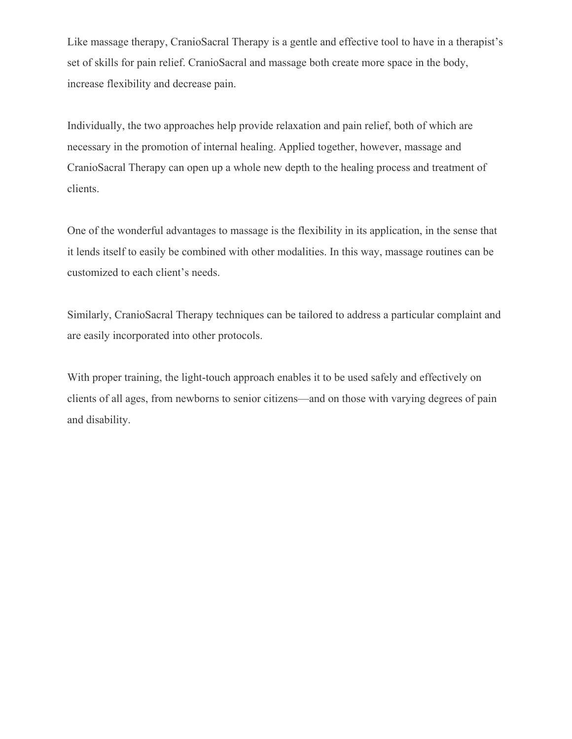Like massage therapy, CranioSacral Therapy is a gentle and effective tool to have in a therapist's set of skills for pain relief. CranioSacral and massage both create more space in the body, increase flexibility and decrease pain.

Individually, the two approaches help provide relaxation and pain relief, both of which are necessary in the promotion of internal healing. Applied together, however, massage and CranioSacral Therapy can open up a whole new depth to the healing process and treatment of clients.

One of the wonderful advantages to massage is the flexibility in its application, in the sense that it lends itself to easily be combined with other modalities. In this way, massage routines can be customized to each client's needs.

Similarly, CranioSacral Therapy techniques can be tailored to address a particular complaint and are easily incorporated into other protocols.

With proper training, the light-touch approach enables it to be used safely and effectively on clients of all ages, from newborns to senior citizens—and on those with varying degrees of pain and disability.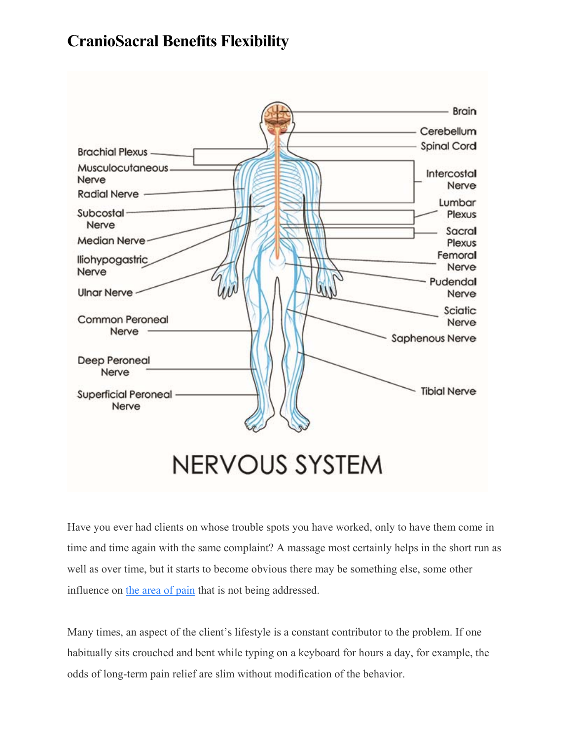## **CranioSacral Benefits Flexibility**



Have you ever had clients on whose trouble spots you have worked, only to have them come in time and time again with the same complaint? A massage most certainly helps in the short run as well as over time, but it starts to become obvious there may be something else, some other influence on the area of pain that is not being addressed.

Many times, an aspect of the client's lifestyle is a constant contributor to the problem. If one habitually sits crouched and bent while typing on a keyboard for hours a day, for example, the odds of long-term pain relief are slim without modification of the behavior.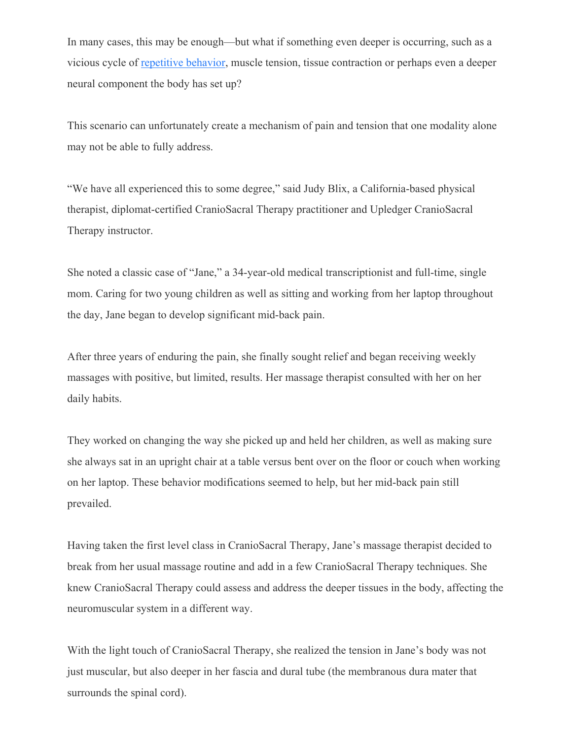In many cases, this may be enough—but what if something even deeper is occurring, such as a vicious cycle of repetitive behavior, muscle tension, tissue contraction or perhaps even a deeper neural component the body has set up?

This scenario can unfortunately create a mechanism of pain and tension that one modality alone may not be able to fully address.

"We have all experienced this to some degree," said Judy Blix, a California-based physical therapist, diplomat-certified CranioSacral Therapy practitioner and Upledger CranioSacral Therapy instructor.

She noted a classic case of "Jane," a 34-year-old medical transcriptionist and full-time, single mom. Caring for two young children as well as sitting and working from her laptop throughout the day, Jane began to develop significant mid-back pain.

After three years of enduring the pain, she finally sought relief and began receiving weekly massages with positive, but limited, results. Her massage therapist consulted with her on her daily habits.

They worked on changing the way she picked up and held her children, as well as making sure she always sat in an upright chair at a table versus bent over on the floor or couch when working on her laptop. These behavior modifications seemed to help, but her mid-back pain still prevailed.

Having taken the first level class in CranioSacral Therapy, Jane's massage therapist decided to break from her usual massage routine and add in a few CranioSacral Therapy techniques. She knew CranioSacral Therapy could assess and address the deeper tissues in the body, affecting the neuromuscular system in a different way.

With the light touch of CranioSacral Therapy, she realized the tension in Jane's body was not just muscular, but also deeper in her fascia and dural tube (the membranous dura mater that surrounds the spinal cord).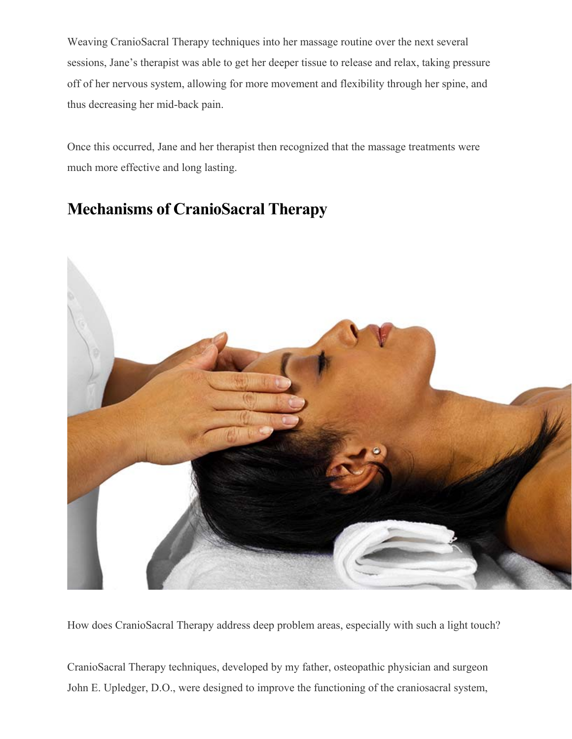Weaving CranioSacral Therapy techniques into her massage routine over the next several sessions, Jane's therapist was able to get her deeper tissue to release and relax, taking pressure off of her nervous system, allowing for more movement and flexibility through her spine, and thus decreasing her mid-back pain.

Once this occurred, Jane and her therapist then recognized that the massage treatments were much more effective and long lasting.

#### **Mechanisms of CranioSacral Therapy**



How does CranioSacral Therapy address deep problem areas, especially with such a light touch?

CranioSacral Therapy techniques, developed by my father, osteopathic physician and surgeon John E. Upledger, D.O., were designed to improve the functioning of the craniosacral system,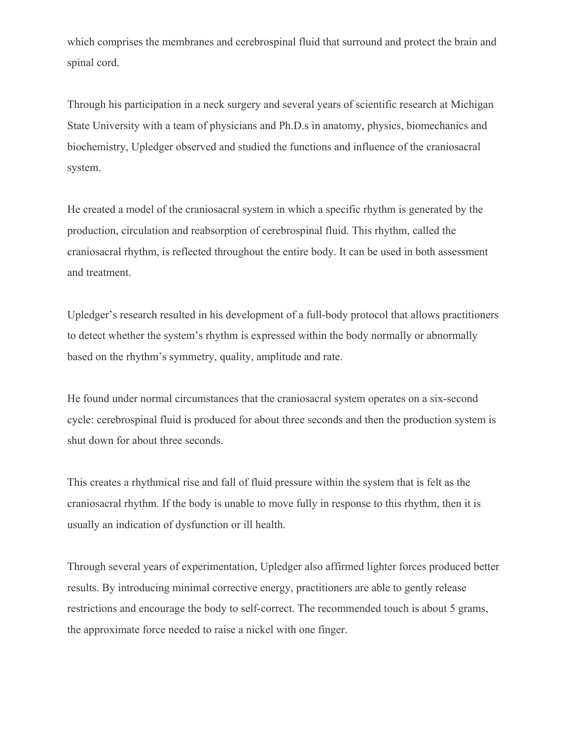which comprises the membranes and cerebrospinal fluid that surround and protect the brain and spinal cord.

Through his participation in a neck surgery and several years of scientific research at Michigan State University with a team of physicians and Ph.D.s in anatomy, physics, biomechanics and biochemistry, Upledger observed and studied the functions and influence of the craniosacral system.

He created a model of the craniosacral system in which a specific rhythm is generated by the production, circulation and reabsorption of cerebrospinal fluid. This rhythm, called the craniosacral rhythm, is reflected throughout the entire body. It can be used in both assessment and treatment.

Upledger's research resulted in his development of a full-body protocol that allows practitioners to detect whether the system's rhythm is expressed within the body normally or abnormally based on the rhythm's symmetry, quality, amplitude and rate.

He found under normal circumstances that the craniosacral system operates on a six-second cycle: cerebrospinal fluid is produced for about three seconds and then the production system is shut down for about three seconds.

This creates a rhythmical rise and fall of fluid pressure within the system that is felt as the craniosacral rhythm. If the body is unable to move fully in response to this rhythm, then it is usually an indication of dysfunction or ill health.

Through several years of experimentation, Upledger also affirmed lighter forces produced better results. By introducing minimal corrective energy, practitioners are able to gently release restrictions and encourage the body to self-correct. The recommended touch is about 5 grams, the approximate force needed to raise a nickel with one finger.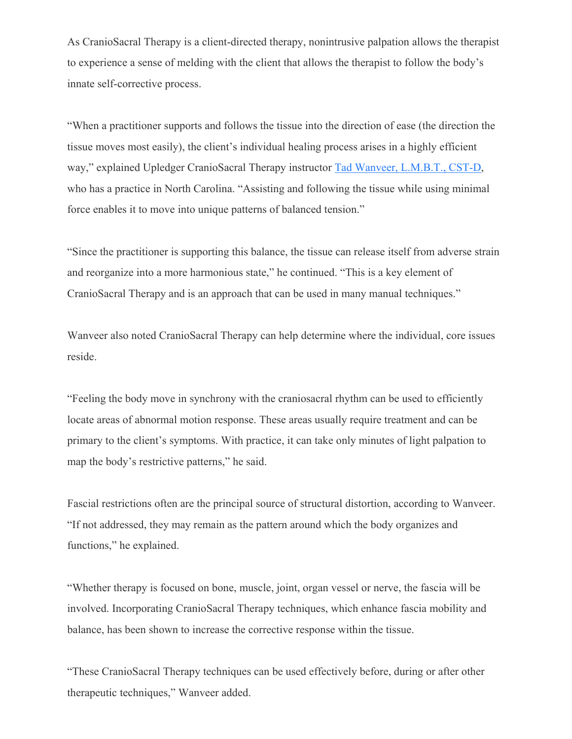As CranioSacral Therapy is a client-directed therapy, nonintrusive palpation allows the therapist to experience a sense of melding with the client that allows the therapist to follow the body's innate self-corrective process.

"When a practitioner supports and follows the tissue into the direction of ease (the direction the tissue moves most easily), the client's individual healing process arises in a highly efficient way," explained Upledger CranioSacral Therapy instructor Tad Wanveer, L.M.B.T., CST-D, who has a practice in North Carolina. "Assisting and following the tissue while using minimal force enables it to move into unique patterns of balanced tension."

"Since the practitioner is supporting this balance, the tissue can release itself from adverse strain and reorganize into a more harmonious state," he continued. "This is a key element of CranioSacral Therapy and is an approach that can be used in many manual techniques."

Wanveer also noted CranioSacral Therapy can help determine where the individual, core issues reside.

"Feeling the body move in synchrony with the craniosacral rhythm can be used to efficiently locate areas of abnormal motion response. These areas usually require treatment and can be primary to the client's symptoms. With practice, it can take only minutes of light palpation to map the body's restrictive patterns," he said.

Fascial restrictions often are the principal source of structural distortion, according to Wanveer. "If not addressed, they may remain as the pattern around which the body organizes and functions," he explained.

"Whether therapy is focused on bone, muscle, joint, organ vessel or nerve, the fascia will be involved. Incorporating CranioSacral Therapy techniques, which enhance fascia mobility and balance, has been shown to increase the corrective response within the tissue.

"These CranioSacral Therapy techniques can be used effectively before, during or after other therapeutic techniques," Wanveer added.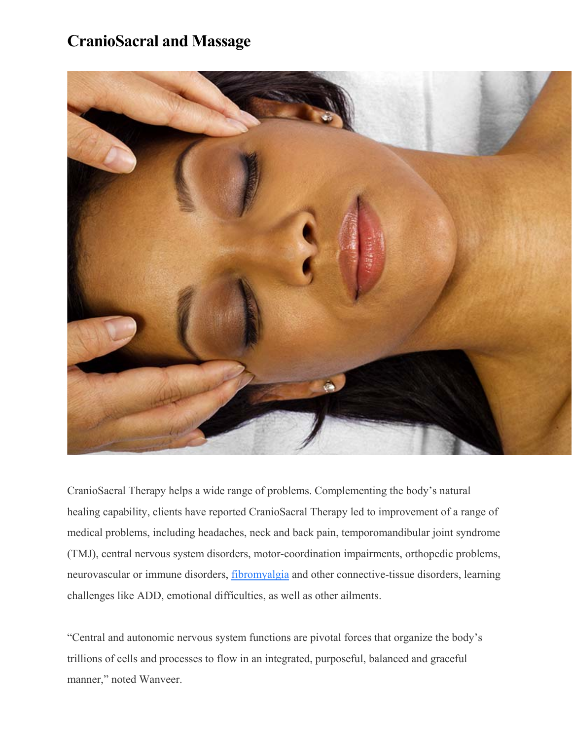### **CranioSacral and Massage**



CranioSacral Therapy helps a wide range of problems. Complementing the body's natural healing capability, clients have reported CranioSacral Therapy led to improvement of a range of medical problems, including headaches, neck and back pain, temporomandibular joint syndrome (TMJ), central nervous system disorders, motor-coordination impairments, orthopedic problems, neurovascular or immune disorders, fibromyalgia and other connective-tissue disorders, learning challenges like ADD, emotional difficulties, as well as other ailments.

"Central and autonomic nervous system functions are pivotal forces that organize the body's trillions of cells and processes to flow in an integrated, purposeful, balanced and graceful manner," noted Wanveer.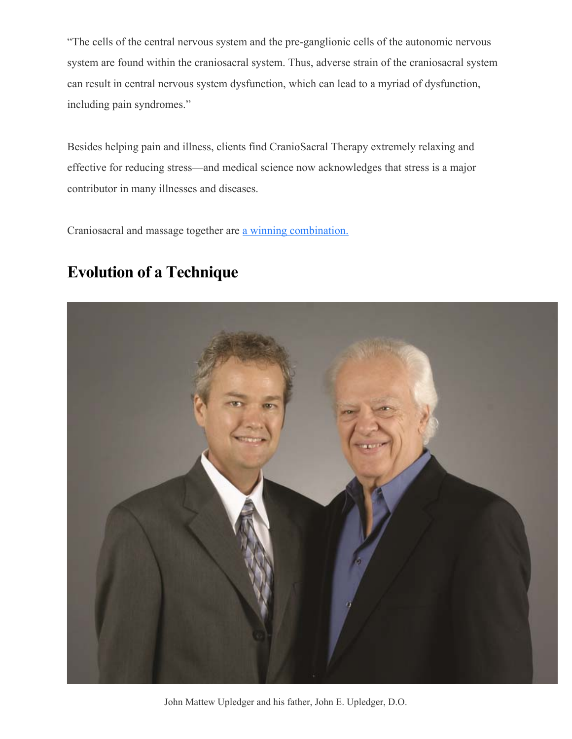"The cells of the central nervous system and the pre-ganglionic cells of the autonomic nervous system are found within the craniosacral system. Thus, adverse strain of the craniosacral system can result in central nervous system dysfunction, which can lead to a myriad of dysfunction, including pain syndromes."

Besides helping pain and illness, clients find CranioSacral Therapy extremely relaxing and effective for reducing stress—and medical science now acknowledges that stress is a major contributor in many illnesses and diseases.

Craniosacral and massage together are a winning combination.

#### **Evolution of a Technique**



John Mattew Upledger and his father, John E. Upledger, D.O.